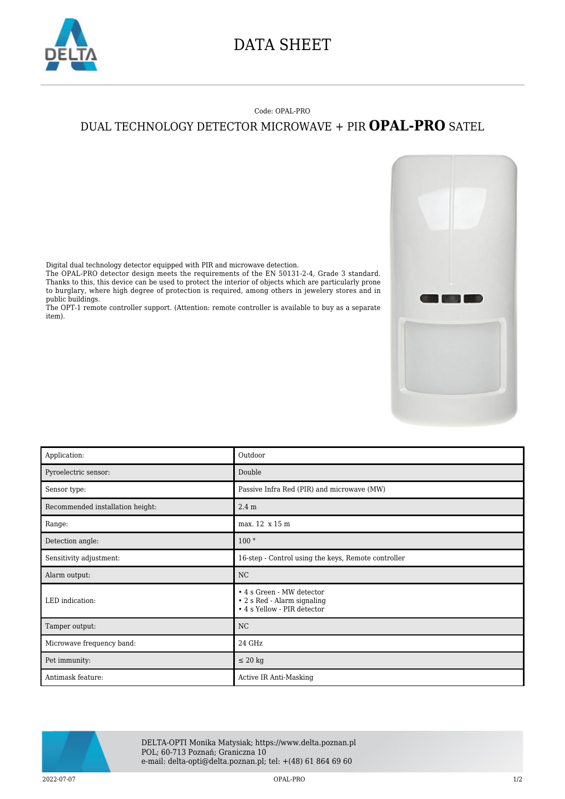

## DATA SHEET

## Code: OPAL-PRO DUAL TECHNOLOGY DETECTOR MICROWAVE + PIR **OPAL-PRO** SATEL

Digital dual technology detector equipped with PIR and microwave detection.

The OPAL-PRO detector design meets the requirements of the EN 50131-2-4, Grade 3 standard. Thanks to this, this device can be used to protect the interior of objects which are particularly prone to burglary, where high degree of protection is required, among others in jewelery stores and in public buildings.

The OPT-1 remote controller support. (Attention: remote controller is available to buy as a separate item).

| Application:                     | Outdoor                                                                                 |
|----------------------------------|-----------------------------------------------------------------------------------------|
| Pyroelectric sensor:             | Double                                                                                  |
| Sensor type:                     | Passive Infra Red (PIR) and microwave (MW)                                              |
| Recommended installation height: | 2.4 <sub>m</sub>                                                                        |
| Range:                           | max. 12 x 15 m                                                                          |
| Detection angle:                 | 100°                                                                                    |
| Sensitivity adjustment:          | 16-step - Control using the keys, Remote controller                                     |
| Alarm output:                    | NC                                                                                      |
| LED indication:                  | • 4 s Green - MW detector<br>• 2 s Red - Alarm signaling<br>• 4 s Yellow - PIR detector |
| Tamper output:                   | NC                                                                                      |
| Microwave frequency band:        | 24 GHz                                                                                  |
| Pet immunity:                    | $\leq 20$ kg                                                                            |
| Antimask feature:                | Active IR Anti-Masking                                                                  |



DELTA-OPTI Monika Matysiak; https://www.delta.poznan.pl POL; 60-713 Poznań; Graniczna 10 e-mail: delta-opti@delta.poznan.pl; tel: +(48) 61 864 69 60